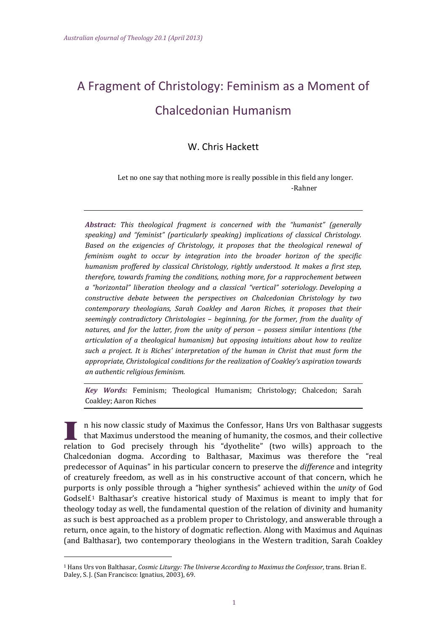# A Fragment of Christology: Feminism as a Moment of Chalcedonian Humanism

# W. Chris Hackett

Let no one say that nothing more is really possible in this field any longer. ‐Rahner 

*Abstract: This theological fragment is concerned with the "humanist" (generally speaking) and "feminist" (particularly speaking) implications of classical Christology. Based on the exigencies of Christology, it proposes that the theological renewal of feminism ought to occur by integration into the broader horizon of the specific humanism proffered by classical Christology, rightly understood. It makes a first step, therefore, towards framing the conditions, nothing more, for a rapprochement between a "horizontal" liberation theology and a classical "vertical" soteriology. Developing a constructive debate between the perspectives on Chalcedonian Christology by two contemporary theologians, Sarah Coakley and Aaron Riches, it proposes that their seemingly contradictory Christologies – beginning, for the former, from the duality of natures, and for the latter, from the unity of person – possess similar intentions (the articulation of a theological humanism) but opposing intuitions about how to realize such a project. It is Riches' interpretation of the human in Christ that must form the appropriate, Christological conditions for the realization of Coakley's aspiration towards an authentic religious feminism.* 

*Key Words:* Feminism; Theological Humanism; Christology; Chalcedon; Sarah Coakley; Aaron Riches

n his now classic study of Maximus the Confessor, Hans Urs von Balthasar suggests that Maximus understood the meaning of humanity, the cosmos, and their collective relation to God precisely through his "dyothelite" (two wills) approach to the Chalcedonian dogma. According to Balthasar, Maximus was therefore the "real predecessor of Aquinas" in his particular concern to preserve the *difference* and integrity of creaturely freedom, as well as in his constructive account of that concern, which he purports is only possible through a "higher synthesis" achieved within the *unity* of God Godself.<sup>1</sup> Balthasar's creative historical study of Maximus is meant to imply that for theology today as well, the fundamental question of the relation of divinity and humanity as such is best approached as a problem proper to Christology, and answerable through a return, once again, to the history of dogmatic reflection. Along with Maximus and Aquinas (and Balthasar), two contemporary theologians in the Western tradition, Sarah Coakley

<sup>1</sup> Hans Urs von Balthasar, *Cosmic Liturgy: The Universe According to Maximus the Confessor*, trans. Brian E. Daley, S. J. (San Francisco: Ignatius, 2003), 69.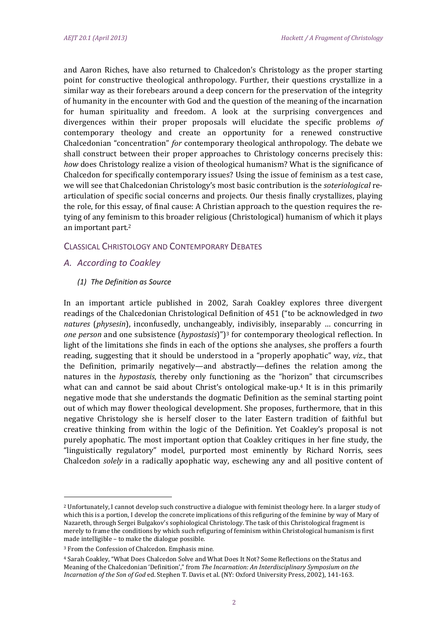and Aaron Riches, have also returned to Chalcedon's Christology as the proper starting point for constructive theological anthropology. Further, their questions crystallize in a similar way as their forebears around a deep concern for the preservation of the integrity of humanity in the encounter with God and the question of the meaning of the incarnation for human spirituality and freedom. A look at the surprising convergences and divergences within their proper proposals will elucidate the specific problems of contemporary theology and create an opportunity for a renewed constructive Chalcedonian "concentration" for contemporary theological anthropology. The debate we shall construct between their proper approaches to Christology concerns precisely this: *how* does Christology realize a vision of theological humanism? What is the significance of Chalcedon for specifically contemporary issues? Using the issue of feminism as a test case, we will see that Chalcedonian Christology's most basic contribution is the *soteriological* rearticulation of specific social concerns and projects. Our thesis finally crystallizes, playing the role, for this essay, of final cause: A Christian approach to the question requires the retying of any feminism to this broader religious (Christological) humanism of which it plays an important part. $2$ 

# CLASSICAL CHRISTOLOGY AND CONTEMPORARY DEBATES

- *A. According to Coakley*
	- *(1) The Definition as Source*

In an important article published in 2002, Sarah Coakley explores three divergent readings of the Chalcedonian Christological Definition of 451 ("to be acknowledged in *two natures* (*physesin*), inconfusedly, unchangeably, indivisibly, inseparably ... concurring in *one person* and one subsistence (*hypostasis*)")<sup>3</sup> for contemporary theological reflection. In light of the limitations she finds in each of the options she analyses, she proffers a fourth reading, suggesting that it should be understood in a "properly apophatic" way, *viz.*, that the Definition, primarily negatively—and abstractly—defines the relation among the natures in the *hypostasis*, thereby only functioning as the "horizon" that circumscribes what can and cannot be said about Christ's ontological make-up.<sup>4</sup> It is in this primarily negative mode that she understands the dogmatic Definition as the seminal starting point out of which may flower theological development. She proposes, furthermore, that in this negative Christology she is herself closer to the later Eastern tradition of faithful but creative thinking from within the logic of the Definition. Yet Coakley's proposal is not purely apophatic. The most important option that Coakley critiques in her fine study, the "linguistically regulatory" model, purported most eminently by Richard Norris, sees Chalcedon *solely* in a radically apophatic way, eschewing any and all positive content of

<sup>&</sup>lt;sup>2</sup> Unfortunately, I cannot develop such constructive a dialogue with feminist theology here. In a larger study of which this is a portion, I develop the concrete implications of this refiguring of the feminine by way of Mary of Nazareth, through Sergei Bulgakov's sophiological Christology. The task of this Christological fragment is merely to frame the conditions by which such refiguring of feminism within Christological humanism is first made intelligible – to make the dialogue possible.

<sup>&</sup>lt;sup>3</sup> From the Confession of Chalcedon. Emphasis mine.

<sup>&</sup>lt;sup>4</sup> Sarah Coakley, "What Does Chalcedon Solve and What Does It Not? Some Reflections on the Status and Meaning of the Chalcedonian 'Definition'," from *The Incarnation: An Interdisciplinary Symposium on the Incarnation of the Son of God* ed. Stephen T. Davis et al. (NY: Oxford University Press, 2002), 141‐163.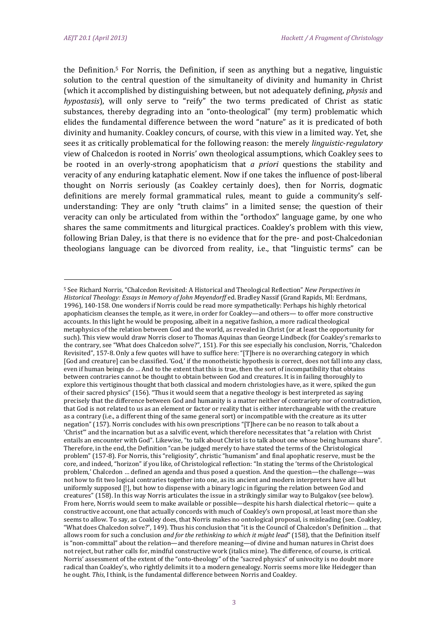the Definition.<sup>5</sup> For Norris, the Definition, if seen as anything but a negative, linguistic solution to the central question of the simultaneity of divinity and humanity in Christ (which it accomplished by distinguishing between, but not adequately defining, *physis* and *hypostasis*), will only serve to "reify" the two terms predicated of Christ as static substances, thereby degrading into an "onto-theological" (my term) problematic which elides the fundamental difference between the word "nature" as it is predicated of both divinity and humanity. Coakley concurs, of course, with this view in a limited way. Yet, she sees it as critically problematical for the following reason: the merely *linguistic-regulatory* view of Chalcedon is rooted in Norris' own theological assumptions, which Coakley sees to be rooted in an overly-strong apophaticism that *a priori* questions the stability and veracity of any enduring kataphatic element. Now if one takes the influence of post-liberal thought on Norris seriously (as Coakley certainly does), then for Norris, dogmatic definitions are merely formal grammatical rules, meant to guide a community's selfunderstanding: They are only "truth claims" in a limited sense; the question of their veracity can only be articulated from within the "orthodox" language game, by one who shares the same commitments and liturgical practices. Coakley's problem with this view, following Brian Daley, is that there is no evidence that for the pre- and post-Chalcedonian theologians language can be divorced from reality, *i.e.*, that "linguistic terms" can be

<sup>5</sup> See Richard Norris, "Chalcedon Revisited: A Historical and Theological Reflection" *New Perspectives in Historical Theology: Essays in Memory of John Meyendorff* ed. Bradley Nassif (Grand Rapids, MI: Eerdmans, 1996), 140-158. One wonders if Norris could be read more sympathetically: Perhaps his highly rhetorical apophaticism cleanses the temple, as it were, in order for Coakley—and others— to offer more constructive accounts. In this light he would be proposing, albeit in a negative fashion, a more radical theological metaphysics of the relation between God and the world, as revealed in Christ (or at least the opportunity for such). This view would draw Norris closer to Thomas Aquinas than George Lindbeck (for Coakley's remarks to the contrary, see "What does Chalcedon solve?", 151). For this see especially his conclusion, Norris, "Chalcedon Revisited", 157-8. Only a few quotes will have to suffice here: "[T]here is no overarching category in which [God and creature] can be classified. 'God,' if the monotheistic hypothesis is correct, does not fall into any class, even if human beings do ... And to the extent that this is true, then the sort of incompatibility that obtains between contraries cannot be thought to obtain between God and creatures. It is in failing thoroughly to explore this vertiginous thought that both classical and modern christologies have, as it were, spiked the gun of their sacred physics" (156). "Thus it would seem that a negative theology is best interpreted as saying precisely that the difference between God and humanity is a matter neither of contrariety nor of contradiction, that God is not related to us as an element or factor or reality that is either interchangeable with the creature as a contrary (i.e., a different thing of the same general sort) or incompatible with the creature as its utter negation" (157). Norris concludes with his own prescriptions "[T]here can be no reason to talk about a 'Christ'" and the incarnation but as a salvific event, which therefore necessitates that "a relation with Christ entails an encounter with God". Likewise, "to talk about Christ is to talk about one whose being humans share". Therefore, in the end, the Definition "can be judged merely to have stated the terms of the Christological problem" (157-8). For Norris, this "religiosity", christic "humanism" and final apophatic reserve, must be the core, and indeed, "horizon" if you like, of Christological reflection: "In stating the 'terms of the Christological problem,' Chalcedon ... defined an agenda and thus posed a question. And the question—the challenge—was not how to fit two logical contraries together into one, as its ancient and modern interpreters have all but uniformly supposed [!], but how to dispense with a binary logic in figuring the relation between God and creatures" (158). In this way Norris articulates the issue in a strikingly similar way to Bulgakov (see below). From here, Norris would seem to make available or possible—despite his harsh dialectical rhetoric— quite a constructive account, one that actually concords with much of Coakley's own proposal, at least more than she seems to allow. To say, as Coakley does, that Norris makes no ontological proposal, is misleading (see. Coakley, "What does Chalcedon solve?", 149). Thus his conclusion that "it is the Council of Chalcedon's Definition ... that allows room for such a conclusion *and for the rethinking to which it might lead*" (158), that the Definition itself is "non-committal" about the relation—and therefore meaning—of divine and human natures in Christ does not reject, but rather calls for, mindful constructive work (italics mine). The difference, of course, is critical. Norris' assessment of the extent of the "onto-theology" of the "sacred physics" of univocity is no doubt more radical than Coakley's, who rightly delimits it to a modern genealogy. Norris seems more like Heidegger than he ought. This, I think, is the fundamental difference between Norris and Coakley.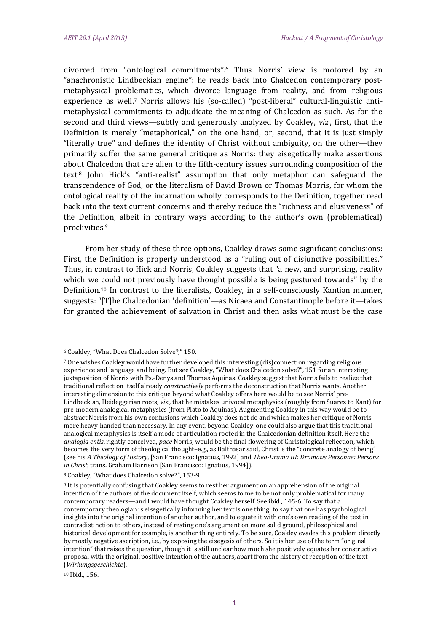divorced from "ontological commitments".<sup>6</sup> Thus Norris' view is motored by an "anachronistic Lindbeckian engine": he reads back into Chalcedon contemporary postmetaphysical problematics, which divorce language from reality, and from religious experience as well.<sup>7</sup> Norris allows his (so-called) "post-liberal" cultural-linguistic antimetaphysical commitments to adjudicate the meaning of Chalcedon as such. As for the second and third views—subtly and generously analyzed by Coakley, *viz.*, first, that the Definition is merely "metaphorical," on the one hand, or, second, that it is just simply "literally true" and defines the identity of Christ without ambiguity, on the other—they primarily suffer the same general critique as Norris: they eisegetically make assertions about Chalcedon that are alien to the fifth-century issues surrounding composition of the text.<sup>8</sup> John Hick's "anti-realist" assumption that only metaphor can safeguard the transcendence of God, or the literalism of David Brown or Thomas Morris, for whom the ontological reality of the incarnation wholly corresponds to the Definition, together read back into the text current concerns and thereby reduce the "richness and elusiveness" of the Definition, albeit in contrary ways according to the author's own (problematical) proclivities.9 

From her study of these three options, Coakley draws some significant conclusions: First, the Definition is properly understood as a "ruling out of disjunctive possibilities." Thus, in contrast to Hick and Norris, Coakley suggests that "a new, and surprising, reality which we could not previously have thought possible is being gestured towards" by the Definition.<sup>10</sup> In contrast to the literalists, Coakley, in a self-consciously Kantian manner, suggests: "[T]he Chalcedonian 'definition'—as Nicaea and Constantinople before it—takes for granted the achievement of salvation in Christ and then asks what must be the case

<sup>&</sup>lt;sup>6</sup> Coakley, "What Does Chalcedon Solve?," 150.

<sup>7</sup> One wishes Coakley would have further developed this interesting (dis)connection regarding religious experience and language and being. But see Coakley, "What does Chalcedon solve?", 151 for an interesting juxtaposition of Norris with Ps.-Denys and Thomas Aquinas. Coakley suggest that Norris fails to realize that traditional reflection itself already *constructively* performs the deconstruction that Norris wants. Another interesting dimension to this critique beyond what Coakley offers here would be to see Norris' pre-Lindbeckian, Heideggerian roots, viz., that he mistakes univocal metaphysics (roughly from Suarez to Kant) for pre-modern analogical metaphysics (from Plato to Aquinas). Augmenting Coakley in this way would be to abstract Norris from his own confusions which Coakley does not do and which makes her critique of Norris more heavy-handed than necessary. In any event, beyond Coakley, one could also argue that this traditional analogical metaphysics is itself a mode of articulation rooted in the Chalcedonian definition itself. Here the *analogia entis*, rightly conceived, *pace* Norris, would be the final flowering of Christological reflection, which becomes the very form of theological thought–e.g., as Balthasar said, Christ is the "concrete analogy of being" (see his *A Theology of History*, [San Francisco: Ignatius, 1992] and *Theo‐Drama III: Dramatis Personae: Persons in Christ*, *trans.* Graham Harrison [San Francisco: Ignatius, 1994]).

<sup>&</sup>lt;sup>8</sup> Coakley, "What does Chalcedon solve?", 153-9.

<sup>&</sup>lt;sup>9</sup> It is potentially confusing that Coakley seems to rest her argument on an apprehension of the original intention of the authors of the document itself, which seems to me to be not only problematical for many contemporary readers—and I would have thought Coakley herself. See ibid., 145-6. To say that a contemporary theologian is eisegetically informing her text is one thing; to say that one has psychological insights into the original intention of another author, and to equate it with one's own reading of the text in contradistinction to others, instead of resting one's argument on more solid ground, philosophical and historical development for example, is another thing entirely. To be sure, Coakley evades this problem directly by mostly negative ascription, i.e., by exposing the eisegesis of others. So it is her use of the term "original intention" that raises the question, though it is still unclear how much she positively equates her constructive proposal with the original, positive intention of the authors, apart from the history of reception of the text (*Wirkungsgeschichte*). 

<sup>10</sup> Ibid., 156.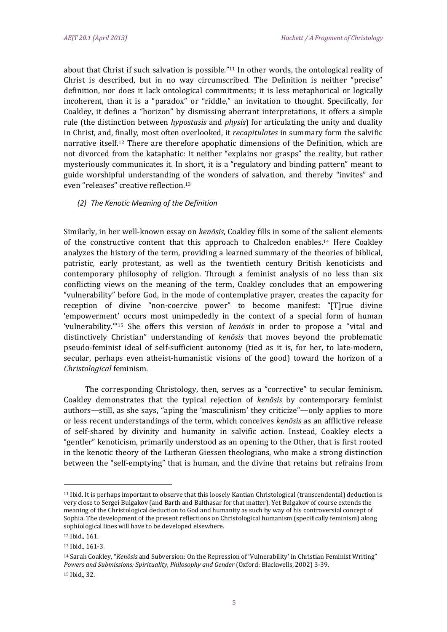about that Christ if such salvation is possible."<sup>11</sup> In other words, the ontological reality of Christ is described, but in no way circumscribed. The Definition is neither "precise" definition, nor does it lack ontological commitments; it is less metaphorical or logically incoherent, than it is a "paradox" or "riddle," an invitation to thought. Specifically, for Coakley, it defines a "horizon" by dismissing aberrant interpretations, it offers a simple rule (the distinction between *hypostasis* and *physis*) for articulating the unity and duality in Christ, and, finally, most often overlooked, it *recapitulates* in summary form the salvific narrative itself.<sup>12</sup> There are therefore apophatic dimensions of the Definition, which are not divorced from the kataphatic: It neither "explains nor grasps" the reality, but rather mysteriously communicates it. In short, it is a "regulatory and binding pattern" meant to guide worshipful understanding of the wonders of salvation, and thereby "invites" and even "releases" creative reflection.<sup>13</sup>

#### *(2) The Kenotic Meaning of the Definition*

Similarly, in her well-known essay on *kenōsis*, Coakley fills in some of the salient elements of the constructive content that this approach to Chalcedon enables.<sup>14</sup> Here Coakley analyzes the history of the term, providing a learned summary of the theories of biblical, patristic, early protestant, as well as the twentieth century British kenoticists and contemporary philosophy of religion. Through a feminist analysis of no less than six conflicting views on the meaning of the term, Coakley concludes that an empowering "vulnerability" before God, in the mode of contemplative prayer, creates the capacity for reception of divine "non-coercive power" to become manifest: "[T]rue divine 'empowerment' occurs most unimpededly in the context of a special form of human 'vulnerability.'"<sup>15</sup> She offers this version of *kenosis* in order to propose a "vital and distinctively Christian" understanding of *kenosis* that moves beyond the problematic pseudo-feminist ideal of self-sufficient autonomy (tied as it is, for her, to late-modern, secular, perhaps even atheist-humanistic visions of the good) toward the horizon of a *Christological* feminism. 

The corresponding Christology, then, serves as a "corrective" to secular feminism. Coakley demonstrates that the typical rejection of *ken*<sup>osis</sup> by contemporary feminist authors—still, as she says, "aping the 'masculinism' they criticize"—only applies to more or less recent understandings of the term, which conceives *kenosis* as an afflictive release of self-shared by divinity and humanity in salvific action. Instead, Coakley elects a "gentler" kenoticism, primarily understood as an opening to the Other, that is first rooted in the kenotic theory of the Lutheran Giessen theologians, who make a strong distinction between the "self-emptying" that is human, and the divine that retains but refrains from

<sup>&</sup>lt;sup>11</sup> Ibid. It is perhaps important to observe that this loosely Kantian Christological (transcendental) deduction is very close to Sergei Bulgakov (and Barth and Balthasar for that matter). Yet Bulgakov of course extends the meaning of the Christological deduction to God and humanity as such by way of his controversial concept of Sophia. The development of the present reflections on Christological humanism (specifically feminism) along sophiological lines will have to be developed elsewhere.

<sup>12</sup> Ibid., 161.

<sup>13</sup> Ibid., 161-3.

<sup>&</sup>lt;sup>14</sup> Sarah Coakley, "*Kenōsis* and Subversion: On the Repression of 'Vulnerability' in Christian Feminist Writing" *Powers and Submissions: Spirituality, Philosophy and Gender* (Oxford: Blackwells, 2002) 3‐39. 

<sup>15</sup> Ibid., 32.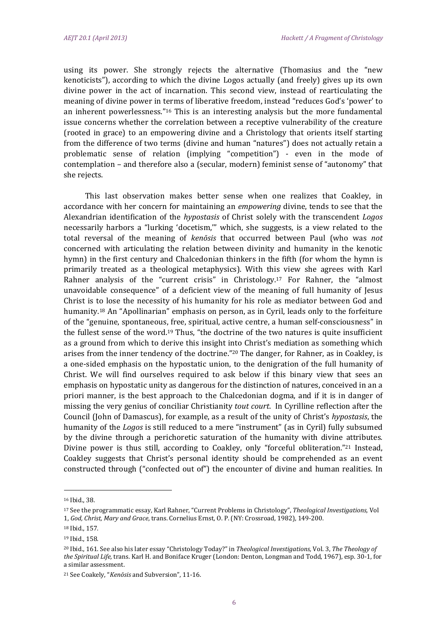using its power. She strongly rejects the alternative (Thomasius and the "new kenoticists"), according to which the divine Logos actually (and freely) gives up its own divine power in the act of incarnation. This second view, instead of rearticulating the meaning of divine power in terms of liberative freedom, instead "reduces God's 'power' to an inherent powerlessness." $16$  This is an interesting analysis but the more fundamental issue concerns whether the correlation between a receptive vulnerability of the creature (rooted in grace) to an empowering divine and a Christology that orients itself starting from the difference of two terms (divine and human "natures") does not actually retain a problematic sense of relation (implying "competition") - even in the mode of contemplation – and therefore also a (secular, modern) feminist sense of "autonomy" that she rejects.

This last observation makes better sense when one realizes that Coakley, in accordance with her concern for maintaining an *empowering* divine, tends to see that the Alexandrian identification of the *hypostasis* of Christ solely with the transcendent *Logos* necessarily harbors a "lurking 'docetism," which, she suggests, is a view related to the total reversal of the meaning of *kenosis* that occurred between Paul (who was *not* concerned with articulating the relation between divinity and humanity in the kenotic hymn) in the first century and Chalcedonian thinkers in the fifth (for whom the hymn is primarily treated as a theological metaphysics). With this view she agrees with Karl Rahner analysis of the "current crisis" in Christology.<sup>17</sup> For Rahner, the "almost unavoidable consequence" of a deficient view of the meaning of full humanity of Jesus Christ is to lose the necessity of his humanity for his role as mediator between God and humanity.<sup>18</sup> An "Apollinarian" emphasis on person, as in Cyril, leads only to the forfeiture of the "genuine, spontaneous, free, spiritual, active centre, a human self-consciousness" in the fullest sense of the word.<sup>19</sup> Thus, "the doctrine of the two natures is quite insufficient as a ground from which to derive this insight into Christ's mediation as something which arises from the inner tendency of the doctrine."<sup>20</sup> The danger, for Rahner, as in Coakley, is a one-sided emphasis on the hypostatic union, to the denigration of the full humanity of Christ. We will find ourselves required to ask below if this binary view that sees an emphasis on hypostatic unity as dangerous for the distinction of natures, conceived in an a priori manner, is the best approach to the Chalcedonian dogma, and if it is in danger of missing the very genius of conciliar Christianity *tout court*. In Cyrilline reflection after the Council (John of Damascus), for example, as a result of the unity of Christ's *hypostasis*, the humanity of the *Logos* is still reduced to a mere "instrument" (as in Cyril) fully subsumed by the divine through a perichoretic saturation of the humanity with divine attributes. Divine power is thus still, according to Coakley, only "forceful obliteration."<sup>21</sup> Instead, Coakley suggests that Christ's personal identity should be comprehended as an event constructed through ("confected out of") the encounter of divine and human realities. In

<sup>16</sup> Ibid., 38.

<sup>17</sup> See the programmatic essay, Karl Rahner, "Current Problems in Christology", Theological Investigations, Vol 1, *God, Christ, Mary and Grace, trans. Cornelius Ernst, O. P. (NY: Crossroad, 1982), 149-200.* 

<sup>18</sup> Ibid., 157.

<sup>&</sup>lt;sup>19</sup> Ibid., 158.

<sup>20</sup> Ibid., 161. See also his later essay "Christology Today?" in *Theological Investigations,* Vol. 3, *The Theology of the Spiritual Life*, trans. Karl H. and Boniface Kruger (London: Denton, Longman and Todd, 1967), esp. 30-1, for a similar assessment.

<sup>21</sup> See Coakely, "*Kenōsis* and Subversion", 11‐16.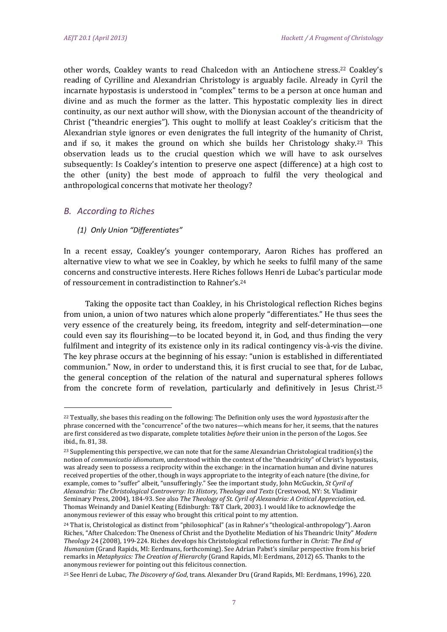other words, Coakley wants to read Chalcedon with an Antiochene stress.<sup>22</sup> Coakley's reading of Cyrilline and Alexandrian Christology is arguably facile. Already in Cyril the incarnate hypostasis is understood in "complex" terms to be a person at once human and divine and as much the former as the latter. This hypostatic complexity lies in direct continuity, as our next author will show, with the Dionysian account of the theandricity of Christ ("theandric energies"). This ought to mollify at least Coakley's criticism that the Alexandrian style ignores or even denigrates the full integrity of the humanity of Christ, and if so, it makes the ground on which she builds her Christology shaky.<sup>23</sup> This observation leads us to the crucial question which we will have to ask ourselves subsequently: Is Coakley's intention to preserve one aspect (difference) at a high cost to the other (unity) the best mode of approach to fulfil the very theological and anthropological concerns that motivate her theology?

# *B. According to Riches*

#### *(1) Only Union "Differentiates"*

 

In a recent essay, Coakley's younger contemporary, Aaron Riches has proffered an alternative view to what we see in Coakley, by which he seeks to fulfil many of the same concerns and constructive interests. Here Riches follows Henri de Lubac's particular mode of ressourcement in contradistinction to Rahner's.<sup>24</sup>

Taking the opposite tact than Coakley, in his Christological reflection Riches begins from union, a union of two natures which alone properly "differentiates." He thus sees the very essence of the creaturely being, its freedom, integrity and self-determination—one could even say its flourishing—to be located beyond it, in God, and thus finding the very fulfilment and integrity of its existence only in its radical contingency vis-à-vis the divine. The key phrase occurs at the beginning of his essay: "union is established in differentiated communion." Now, in order to understand this, it is first crucial to see that, for de Lubac, the general conception of the relation of the natural and supernatural spheres follows from the concrete form of revelation, particularly and definitively in Jesus Christ.<sup>25</sup>

<sup>&</sup>lt;sup>22</sup> Textually, she bases this reading on the following: The Definition only uses the word *hypostasis* after the phrase concerned with the "concurrence" of the two natures—which means for her, it seems, that the natures are first considered as two disparate, complete totalities *before* their union in the person of the Logos. See ibid., fn. 81, 38.

 $23$  Supplementing this perspective, we can note that for the same Alexandrian Christological tradition(s) the notion of *communicatio idiomatum*, understood within the context of the "theandricity" of Christ's hypostasis, was already seen to possess a reciprocity within the exchange: in the incarnation human and divine natures received properties of the other, though in ways appropriate to the integrity of each nature (the divine, for example, comes to "suffer" albeit, "unsufferingly." See the important study, John McGuckin, *St Cyril of Alexandria: The Christological Controversy: Its History, Theology and Texts* (Crestwood, NY: St. Vladimir Seminary Press, 2004), 184‐93. See also *The Theology of St. Cyril of Alexandria: A Critical Appreciation,* ed*.* Thomas Weinandy and Daniel Keating (Edinburgh: T&T Clark, 2003). I would like to acknowledge the anonymous reviewer of this essay who brought this critical point to my attention.

 $^{24}$  That is, Christological as distinct from "philosophical" (as in Rahner's "theological-anthropology"). Aaron Riches, "After Chalcedon: The Oneness of Christ and the Dyothelite Mediation of his Theandric Unity" Modern *Theology* 24 (2008), 199‐224. Riches develops his Christological reflections further in *Christ: The End of Humanism* (Grand Rapids, MI: Eerdmans, forthcoming). See Adrian Pabst's similar perspective from his brief remarks in *Metaphysics: The Creation of Hierarchy* (Grand Rapids, MI: Eerdmans, 2012) 65. Thanks to the anonymous reviewer for pointing out this felicitous connection.

<sup>&</sup>lt;sup>25</sup> See Henri de Lubac, *The Discovery of God*, trans. Alexander Dru (Grand Rapids, MI: Eerdmans, 1996), 220.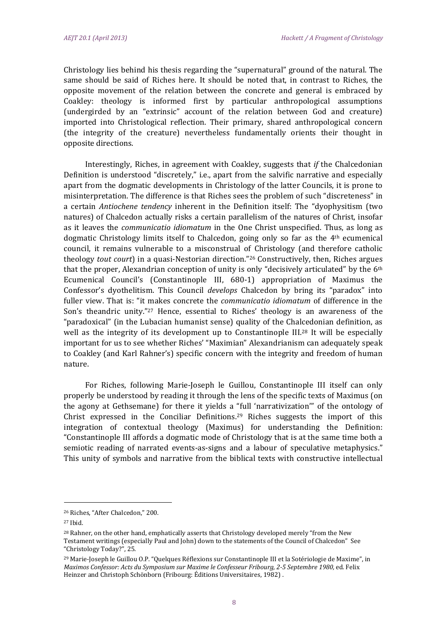Christology lies behind his thesis regarding the "supernatural" ground of the natural. The same should be said of Riches here. It should be noted that, in contrast to Riches, the opposite movement of the relation between the concrete and general is embraced by Coakley: theology is informed first by particular anthropological assumptions (undergirded by an "extrinsic" account of the relation between God and creature) imported into Christological reflection. Their primary, shared anthropological concern (the integrity of the creature) nevertheless fundamentally orients their thought in opposite directions.

Interestingly, Riches, in agreement with Coakley, suggests that *if* the Chalcedonian Definition is understood "discretely," i.e., apart from the salvific narrative and especially apart from the dogmatic developments in Christology of the latter Councils, it is prone to misinterpretation. The difference is that Riches sees the problem of such "discreteness" in a certain *Antiochene tendency* inherent in the Definition itself: The "dyophysitism (two natures) of Chalcedon actually risks a certain parallelism of the natures of Christ, insofar as it leaves the *communicatio idiomatum* in the One Christ unspecified. Thus, as long as dogmatic Christology limits itself to Chalcedon, going only so far as the  $4<sup>th</sup>$  ecumenical council, it remains vulnerable to a misconstrual of Christology (and therefore catholic **theology** *tout court*) in a quasi-Nestorian direction."<sup>26</sup> Constructively, then, Riches argues that the proper, Alexandrian conception of unity is only "decisively articulated" by the  $6<sup>th</sup>$ Ecumenical Council's (Constantinople III, 680-1) appropriation of Maximus the Confessor's dyothelitism. This Council *develops* Chalcedon by bring its "paradox" into fuller view. That is: "it makes concrete the *communicatio idiomatum* of difference in the Son's theandric unity."27 Hence, essential to Riches' theology is an awareness of the "paradoxical" (in the Lubacian humanist sense) quality of the Chalcedonian definition, as well as the integrity of its development up to Constantinople III.<sup>28</sup> It will be especially important for us to see whether Riches' "Maximian" Alexandrianism can adequately speak to Coakley (and Karl Rahner's) specific concern with the integrity and freedom of human nature. 

For Riches, following Marie-Joseph le Guillou, Constantinople III itself can only properly be understood by reading it through the lens of the specific texts of Maximus (on the agony at Gethsemane) for there it yields a "full 'narrativization'" of the ontology of Christ expressed in the Conciliar Definitions.<sup>29</sup> Riches suggests the import of this  $\int$  integration of contextual theology (Maximus) for understanding the Definition: "Constantinople III affords a dogmatic mode of Christology that is at the same time both a semiotic reading of narrated events-as-signs and a labour of speculative metaphysics." This unity of symbols and narrative from the biblical texts with constructive intellectual

<sup>&</sup>lt;sup>26</sup> Riches, "After Chalcedon," 200.

<sup>27</sup> Ibid. 

<sup>&</sup>lt;sup>28</sup> Rahner, on the other hand, emphatically asserts that Christology developed merely "from the New Testament writings (especially Paul and John) down to the statements of the Council of Chalcedon" See "Christology Today?", 25.

<sup>&</sup>lt;sup>29</sup> Marie-Joseph le Guillou O.P. "Quelques Réflexions sur Constantinople III et la Sotériologie de Maxime", in *Maximos Confessor: Acts du Symposium sur Maxime le Confesseur Fribourg, 2‐5 Septembre 1980,* ed*.* Felix Heinzer and Christoph Schönborn (Fribourg: Éditions Universitaires, 1982).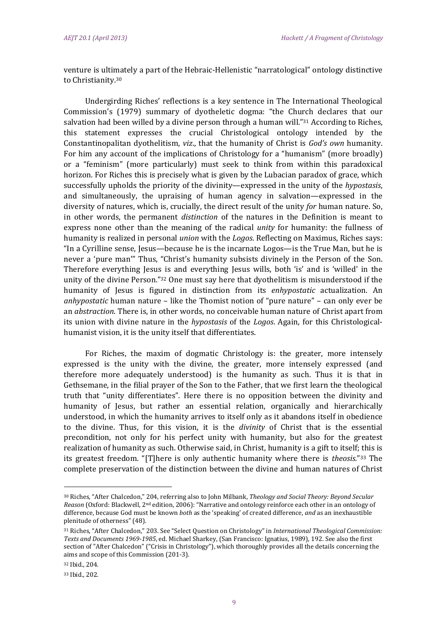venture is ultimately a part of the Hebraic-Hellenistic "narratological" ontology distinctive to Christianity.<sup>30</sup>

Undergirding Riches' reflections is a key sentence in The International Theological Commission's (1979) summary of dyotheletic dogma: "the Church declares that our salvation had been willed by a divine person through a human will."<sup>31</sup> According to Riches, this statement expresses the crucial Christological ontology intended by the Constantinopalitan dyothelitism, viz., that the humanity of Christ is *God's own* humanity. For him any account of the implications of Christology for a "humanism" (more broadly) or a "feminism" (more particularly) must seek to think from within this paradoxical horizon. For Riches this is precisely what is given by the Lubacian paradox of grace, which successfully upholds the priority of the divinity—expressed in the unity of the *hypostasis*, and simultaneously, the upraising of human agency in salvation—expressed in the diversity of natures, which is, crucially, the direct result of the unity *for* human nature. So, in other words, the permanent *distinction* of the natures in the Definition is meant to express none other than the meaning of the radical *unity* for humanity: the fullness of humanity is realized in personal *union* with the *Logos*. Reflecting on Maximus, Riches says: "In a Cyrilline sense, Jesus—because he is the incarnate Logos—is the True Man, but he is never a 'pure man'" Thus, "Christ's humanity subsists divinely in the Person of the Son. Therefore everything Jesus is and everything Jesus wills, both 'is' and is 'willed' in the unity of the divine Person." $32$  One must say here that dyothelitism is misunderstood if the humanity of Jesus is figured in distinction from its *enhypostatic* actualization. An *anhypostatic* human nature – like the Thomist notion of "pure nature" – can only ever be an *abstraction*. There is, in other words, no conceivable human nature of Christ apart from its union with divine nature in the *hypostasis* of the *Logos*. Again, for this Christologicalhumanist vision, it is the unity itself that differentiates.

For Riches, the maxim of dogmatic Christology is: the greater, more intensely expressed is the unity with the divine, the greater, more intensely expressed (and therefore more adequately understood) is the humanity as such. Thus it is that in Gethsemane, in the filial prayer of the Son to the Father, that we first learn the theological truth that "unity differentiates". Here there is no opposition between the divinity and humanity of Jesus, but rather an essential relation, organically and hierarchically understood, in which the humanity arrives to itself only as it abandons itself in obedience to the divine. Thus, for this vision, it is the *divinity* of Christ that is the essential precondition, not only for his perfect unity with humanity, but also for the greatest realization of humanity as such. Otherwise said, in Christ, humanity is a gift to itself; this is its greatest freedom. "[T]here is only authentic humanity where there is *theosis*."<sup>33</sup> The complete preservation of the distinction between the divine and human natures of Christ

<sup>30</sup> Riches, "After Chalcedon," 204, referring also to John Milbank, *Theology and Social Theory: Beyond Secular Reason* (Oxford: Blackwell, 2<sup>nd</sup> edition, 2006): "Narrative and ontology reinforce each other in an ontology of difference, because God must be known *both* as the 'speaking' of created difference, and as an inexhaustible plenitude of otherness" (48).

<sup>31</sup> Riches, "After Chalcedon," 203. See "Select Question on Christology" in *International Theological Commission: Texts and Documents 1969‐1985*, ed. Michael Sharkey, (San Francisco: Ignatius, 1989), 192. See also the first section of "After Chalcedon" ("Crisis in Christology"), which thoroughly provides all the details concerning the aims and scope of this Commission (201-3).

<sup>32</sup> Ibid., 204. 

<sup>33</sup> Ibid., 202.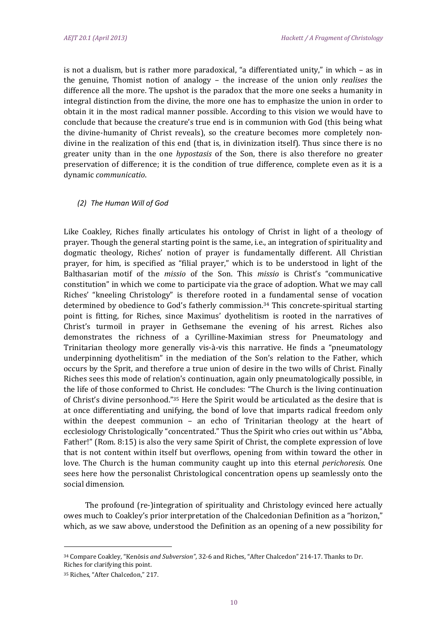is not a dualism, but is rather more paradoxical, "a differentiated unity," in which  $-$  as in the genuine, Thomist notion of analogy – the increase of the union only *realises* the difference all the more. The upshot is the paradox that the more one seeks a humanity in integral distinction from the divine, the more one has to emphasize the union in order to obtain it in the most radical manner possible. According to this vision we would have to conclude that because the creature's true end is in communion with God (this being what the divine-humanity of Christ reveals), so the creature becomes more completely nondivine in the realization of this end (that is, in divinization itself). Thus since there is no greater unity than in the one *hypostasis* of the Son, there is also therefore no greater preservation of difference; it is the condition of true difference, complete even as it is a dynamic *communicatio*. 

#### *(2) The Human Will of God*

Like Coakley, Riches finally articulates his ontology of Christ in light of a theology of prayer. Though the general starting point is the same, i.e., an integration of spirituality and dogmatic theology, Riches' notion of prayer is fundamentally different. All Christian prayer, for him, is specified as "filial prayer," which is to be understood in light of the Balthasarian motif of the *missio* of the Son. This *missio* is Christ's "communicative constitution" in which we come to participate via the grace of adoption. What we may call Riches' "kneeling Christology" is therefore rooted in a fundamental sense of vocation determined by obedience to God's fatherly commission.<sup>34</sup> This concrete-spiritual starting point is fitting, for Riches, since Maximus' dyothelitism is rooted in the narratives of Christ's turmoil in prayer in Gethsemane the evening of his arrest. Riches also demonstrates the richness of a Cyrilline-Maximian stress for Pneumatology and Trinitarian theology more generally vis-à-vis this narrative. He finds a "pneumatology underpinning dyothelitism" in the mediation of the Son's relation to the Father, which occurs by the Sprit, and therefore a true union of desire in the two wills of Christ. Finally Riches sees this mode of relation's continuation, again only pneumatologically possible, in the life of those conformed to Christ. He concludes: "The Church is the living continuation of Christ's divine personhood."<sup>35</sup> Here the Spirit would be articulated as the desire that is at once differentiating and unifying, the bond of love that imparts radical freedom only within the deepest communion - an echo of Trinitarian theology at the heart of ecclesiology Christologically "concentrated." Thus the Spirit who cries out within us "Abba, Father!" (Rom. 8:15) is also the very same Spirit of Christ, the complete expression of love that is not content within itself but overflows, opening from within toward the other in love. The Church is the human community caught up into this eternal *perichoresis*. One sees here how the personalist Christological concentration opens up seamlessly onto the social dimension.

The profound (re-)integration of spirituality and Christology evinced here actually owes much to Coakley's prior interpretation of the Chalcedonian Definition as a "horizon," which, as we saw above, understood the Definition as an opening of a new possibility for

<sup>&</sup>lt;sup>34</sup> Compare Coakley, "Kenōsis *and Subversion"*, 32-6 and Riches, "After Chalcedon" 214-17. Thanks to Dr. Riches for clarifying this point.

<sup>&</sup>lt;sup>35</sup> Riches, "After Chalcedon," 217.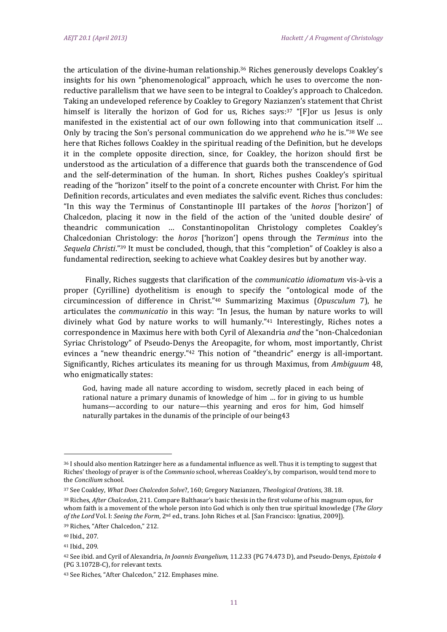the articulation of the divine-human relationship.<sup>36</sup> Riches generously develops Coakley's insights for his own "phenomenological" approach, which he uses to overcome the nonreductive parallelism that we have seen to be integral to Coakley's approach to Chalcedon. Taking an undeveloped reference by Coakley to Gregory Nazianzen's statement that Christ himself is literally the horizon of God for us, Riches says:<sup>37</sup> "[F]or us lesus is only manifested in the existential act of our own following into that communication itself ... Only by tracing the Son's personal communication do we apprehend who he is."<sup>38</sup> We see here that Riches follows Coakley in the spiritual reading of the Definition, but he develops it in the complete opposite direction, since, for Coakley, the horizon should first be understood as the articulation of a difference that guards both the transcendence of God and the self-determination of the human. In short, Riches pushes Coakley's spiritual reading of the "horizon" itself to the point of a concrete encounter with Christ. For him the Definition records, articulates and even mediates the salvific event. Riches thus concludes: "In this way the Terminus of Constantinople III partakes of the *horos* ['horizon'] of Chalcedon, placing it now in the field of the action of the 'united double desire' of theandric communication ... Constantinopolitan Christology completes Coakley's Chalcedonian Christology: the *horos* ['horizon'] opens through the *Terminus* into the *Sequela Christi.*"<sup>39</sup> It must be concluded, though, that this "completion" of Coakley is also a fundamental redirection, seeking to achieve what Coakley desires but by another way.

Finally, Riches suggests that clarification of the *communicatio idiomatum* vis-à-vis a proper (Cyrilline) dyothelitism is enough to specify the "ontological mode of the circumincession of difference in Christ."40 Summarizing Maximus (*Opusculum* 7), he articulates the *communicatio* in this way: "In Jesus, the human by nature works to will divinely what God by nature works to will humanly." $41$  Interestingly, Riches notes a correspondence in Maximus here with both Cyril of Alexandria and the "non-Chalcedonian Syriac Christology" of Pseudo-Denys the Areopagite, for whom, most importantly, Christ evinces a "new theandric energy."<sup>42</sup> This notion of "theandric" energy is all-important. Significantly, Riches articulates its meaning for us through Maximus, from *Ambiguum* 48, who enigmatically states:

God, having made all nature according to wisdom, secretly placed in each being of rational nature a primary dunamis of knowledge of him ... for in giving to us humble humans—according to our nature—this yearning and eros for him, God himself naturally partakes in the dunamis of the principle of our being43

<sup>36</sup> I should also mention Ratzinger here as a fundamental influence as well. Thus it is tempting to suggest that Riches' theology of prayer is of the *Communio* school, whereas Coakley's, by comparison, would tend more to the *Concilium* school.

<sup>37</sup> See Coakley, *What Does Chalcedon Solve*?, 160; Gregory Nazianzen, *Theological Orations*, 38. 18. 

<sup>&</sup>lt;sup>38</sup> Riches, *After Chalcedon*, 211. Compare Balthasar's basic thesis in the first volume of his magnum opus, for whom faith is a movement of the whole person into God which is only then true spiritual knowledge (The Glory *of the Lord* Vol. I: *Seeing the Form*, 2nd ed., trans. John Riches et al. [San Francisco: Ignatius, 2009]). 

<sup>&</sup>lt;sup>39</sup> Riches, "After Chalcedon," 212.

<sup>40</sup> Ibid., 207.

<sup>41</sup> Ibid., 209.

<sup>42</sup> See ibid. and Cyril of Alexandria, *In Joannis Evangelium*, 11.2.33 (PG 74.473 D), and Pseudo‐Denys, *Epistola 4* (PG 3.1072B-C), for relevant texts.

<sup>&</sup>lt;sup>43</sup> See Riches, "After Chalcedon," 212. Emphases mine.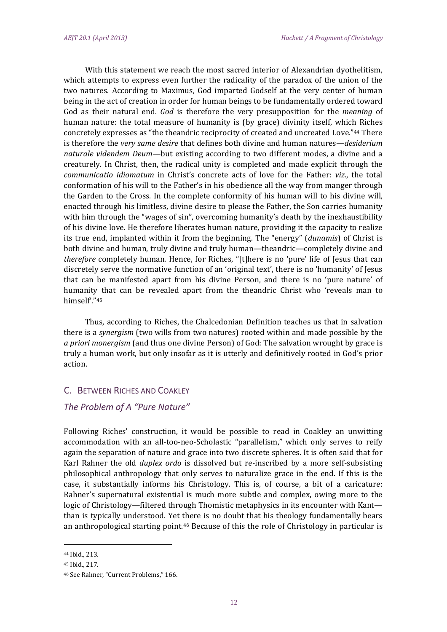With this statement we reach the most sacred interior of Alexandrian dyothelitism, which attempts to express even further the radicality of the paradox of the union of the two natures. According to Maximus, God imparted Godself at the very center of human being in the act of creation in order for human beings to be fundamentally ordered toward God as their natural end. *God* is therefore the very presupposition for the *meaning* of human nature: the total measure of humanity is (by grace) divinity itself, which Riches concretely expresses as "the theandric reciprocity of created and uncreated Love."44 There is therefore the *very same desire* that defines both divine and human natures—*desiderium naturale videndem Deum*—but existing according to two different modes, a divine and a creaturely. In Christ, then, the radical unity is completed and made explicit through the *communicatio idiomatum* in Christ's concrete acts of love for the Father: *viz.*, the total conformation of his will to the Father's in his obedience all the way from manger through the Garden to the Cross. In the complete conformity of his human will to his divine will, enacted through his limitless, divine desire to please the Father, the Son carries humanity with him through the "wages of sin", overcoming humanity's death by the inexhaustibility of his divine love. He therefore liberates human nature, providing it the capacity to realize its true end, implanted within it from the beginning. The "energy" (*dunamis*) of Christ is both divine and human, truly divine and truly human—theandric—completely divine and *therefore* completely human. Hence, for Riches, "[t]here is no 'pure' life of Jesus that can discretely serve the normative function of an 'original text', there is no 'humanity' of Jesus that can be manifested apart from his divine Person, and there is no 'pure nature' of humanity that can be revealed apart from the theandric Christ who 'reveals man to himself'."45 

Thus, according to Riches, the Chalcedonian Definition teaches us that in salvation there is a *synergism* (two wills from two natures) rooted within and made possible by the *a priori monergism* (and thus one divine Person) of God: The salvation wrought by grace is truly a human work, but only insofar as it is utterly and definitively rooted in God's prior action. 

# C. BETWEEN RICHES AND COAKLEY

# *The Problem of A "Pure Nature"*

Following Riches' construction, it would be possible to read in Coakley an unwitting accommodation with an all-too-neo-Scholastic "parallelism," which only serves to reify again the separation of nature and grace into two discrete spheres. It is often said that for Karl Rahner the old *duplex ordo* is dissolved but re-inscribed by a more self-subsisting philosophical anthropology that only serves to naturalize grace in the end. If this is the case, it substantially informs his Christology. This is, of course, a bit of a caricature: Rahner's supernatural existential is much more subtle and complex, owing more to the logic of Christology—filtered through Thomistic metaphysics in its encounter with Kant than is typically understood. Yet there is no doubt that his theology fundamentally bears an anthropological starting point.<sup>46</sup> Because of this the role of Christology in particular is

<sup>44</sup> Ibid., 213. 

<sup>45</sup> Ibid., 217. 

<sup>&</sup>lt;sup>46</sup> See Rahner, "Current Problems," 166.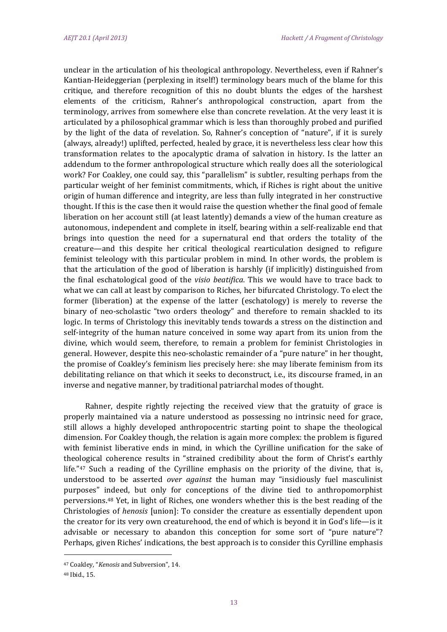unclear in the articulation of his theological anthropology. Nevertheless, even if Rahner's Kantian-Heideggerian (perplexing in itself!) terminology bears much of the blame for this critique, and therefore recognition of this no doubt blunts the edges of the harshest elements of the criticism, Rahner's anthropological construction, apart from the terminology, arrives from somewhere else than concrete revelation. At the very least it is articulated by a philosophical grammar which is less than thoroughly probed and purified by the light of the data of revelation. So, Rahner's conception of "nature", if it is surely (always, already!) uplifted, perfected, healed by grace, it is nevertheless less clear how this transformation relates to the apocalyptic drama of salvation in history. Is the latter an addendum to the former anthropological structure which really does all the soteriological work? For Coakley, one could say, this "parallelism" is subtler, resulting perhaps from the particular weight of her feminist commitments, which, if Riches is right about the unitive origin of human difference and integrity, are less than fully integrated in her constructive thought. If this is the case then it would raise the question whether the final good of female liberation on her account still (at least latently) demands a view of the human creature as autonomous, independent and complete in itself, bearing within a self-realizable end that brings into question the need for a supernatural end that orders the totality of the creature—and this despite her critical theological rearticulation designed to refigure feminist teleology with this particular problem in mind. In other words, the problem is that the articulation of the good of liberation is harshly (if implicitly) distinguished from the final eschatological good of the *visio beatifica*. This we would have to trace back to what we can call at least by comparison to Riches, her bifurcated Christology. To elect the former (liberation) at the expense of the latter (eschatology) is merely to reverse the binary of neo-scholastic "two orders theology" and therefore to remain shackled to its logic. In terms of Christology this inevitably tends towards a stress on the distinction and self-integrity of the human nature conceived in some way apart from its union from the divine, which would seem, therefore, to remain a problem for feminist Christologies in general. However, despite this neo-scholastic remainder of a "pure nature" in her thought, the promise of Coakley's feminism lies precisely here: she may liberate feminism from its debilitating reliance on that which it seeks to deconstruct, i.e., its discourse framed, in an inverse and negative manner, by traditional patriarchal modes of thought.

Rahner, despite rightly rejecting the received view that the gratuity of grace is properly maintained via a nature understood as possessing no intrinsic need for grace, still allows a highly developed anthropocentric starting point to shape the theological dimension. For Coakley though, the relation is again more complex: the problem is figured with feminist liberative ends in mind, in which the Cyrilline unification for the sake of theological coherence results in "strained credibility about the form of Christ's earthly life." $47$  Such a reading of the Cyrilline emphasis on the priority of the divine, that is, understood to be asserted over against the human may "insidiously fuel masculinist purposes" indeed, but only for conceptions of the divine tied to anthropomorphist perversions.<sup>48</sup> Yet, in light of Riches, one wonders whether this is the best reading of the Christologies of *henosis* [union]: To consider the creature as essentially dependent upon the creator for its very own creaturehood, the end of which is beyond it in God's life—is it advisable or necessary to abandon this conception for some sort of "pure nature"? Perhaps, given Riches' indications, the best approach is to consider this Cyrilline emphasis

 47 Coakley, "*Kenosis* and Subversion", 14. 

<sup>48</sup> Ibid., 15.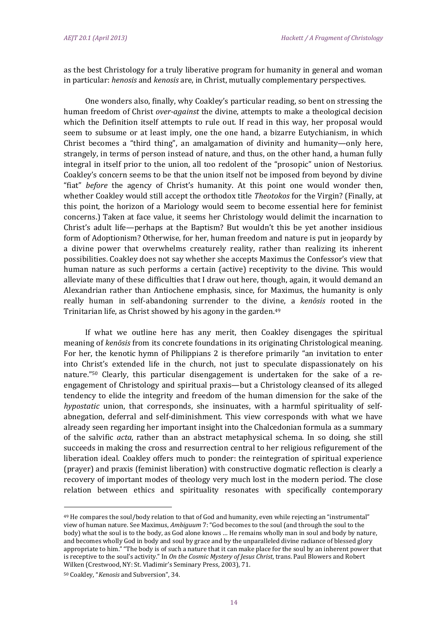as the best Christology for a truly liberative program for humanity in general and woman in particular: *henosis* and *kenosis* are, in Christ, mutually complementary perspectives.

One wonders also, finally, why Coakley's particular reading, so bent on stressing the human freedom of Christ *over-against* the divine, attempts to make a theological decision which the Definition itself attempts to rule out. If read in this way, her proposal would seem to subsume or at least imply, one the one hand, a bizarre Eutychianism, in which Christ becomes a "third thing", an amalgamation of divinity and humanity—only here, strangely, in terms of person instead of nature, and thus, on the other hand, a human fully integral in itself prior to the union, all too redolent of the "prosopic" union of Nestorius. Coakley's concern seems to be that the union itself not be imposed from beyond by divine "fiat" *before* the agency of Christ's humanity. At this point one would wonder then, whether Coakley would still accept the orthodox title *Theotokos* for the Virgin? (Finally, at this point, the horizon of a Mariology would seem to become essential here for feminist concerns.) Taken at face value, it seems her Christology would delimit the incarnation to Christ's adult life—perhaps at the Baptism? But wouldn't this be yet another insidious form of Adoptionism? Otherwise, for her, human freedom and nature is put in jeopardy by a divine power that overwhelms creaturely reality, rather than realizing its inherent possibilities. Coakley does not say whether she accepts Maximus the Confessor's view that human nature as such performs a certain (active) receptivity to the divine. This would alleviate many of these difficulties that I draw out here, though, again, it would demand an Alexandrian rather than Antiochene emphasis, since, for Maximus, the humanity is only really human in self-abandoning surrender to the divine, a *kenosis* rooted in the Trinitarian life, as Christ showed by his agony in the garden. $49$ 

If what we outline here has any merit, then Coakley disengages the spiritual meaning of *kenosis* from its concrete foundations in its originating Christological meaning. For her, the kenotic hymn of Philippians 2 is therefore primarily "an invitation to enter into Christ's extended life in the church, not just to speculate dispassionately on his nature."<sup>50</sup> Clearly, this particular disengagement is undertaken for the sake of a reengagement of Christology and spiritual praxis—but a Christology cleansed of its alleged tendency to elide the integrity and freedom of the human dimension for the sake of the *hypostatic* union, that corresponds, she insinuates, with a harmful spirituality of selfabnegation, deferral and self-diminishment. This view corresponds with what we have already seen regarding her important insight into the Chalcedonian formula as a summary of the salvific *acta*, rather than an abstract metaphysical schema. In so doing, she still succeeds in making the cross and resurrection central to her religious refigurement of the liberation ideal. Coakley offers much to ponder: the reintegration of spiritual experience (prayer) and praxis (feminist liberation) with constructive dogmatic reflection is clearly a recovery of important modes of theology very much lost in the modern period. The close relation between ethics and spirituality resonates with specifically contemporary

<sup>&</sup>lt;sup>49</sup> He compares the soul/body relation to that of God and humanity, even while rejecting an "instrumental" view of human nature. See Maximus, *Ambiguum* 7: "God becomes to the soul (and through the soul to the body) what the soul is to the body, as God alone knows ... He remains wholly man in soul and body by nature, and becomes wholly God in body and soul by grace and by the unparalleled divine radiance of blessed glory appropriate to him." "The body is of such a nature that it can make place for the soul by an inherent power that is receptive to the soul's activity." In *On the Cosmic Mystery of Jesus Christ*, trans. Paul Blowers and Robert Wilken (Crestwood, NY: St. Vladimir's Seminary Press, 2003), 71.

<sup>50</sup> Coakley, "*Kenosis* and Subversion", 34.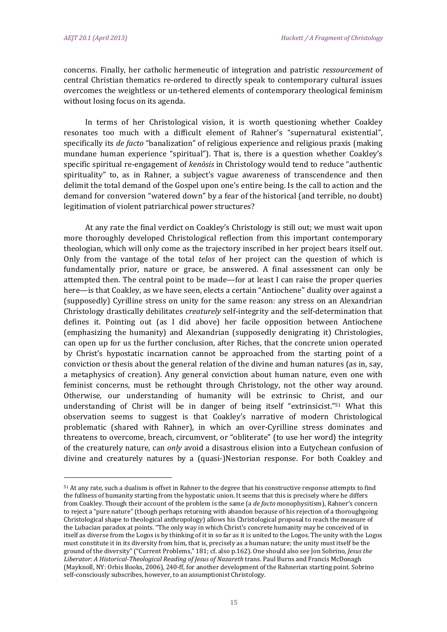concerns. Finally, her catholic hermeneutic of integration and patristic *ressourcement* of central Christian thematics re-ordered to directly speak to contemporary cultural issues overcomes the weightless or un-tethered elements of contemporary theological feminism without losing focus on its agenda.

In terms of her Christological vision, it is worth questioning whether Coakley resonates too much with a difficult element of Rahner's "supernatural existential", specifically its *de facto* "banalization" of religious experience and religious praxis (making mundane human experience "spiritual"). That is, there is a question whether Coakley's specific spiritual re-engagement of *kenosis* in Christology would tend to reduce "authentic spirituality" to, as in Rahner, a subject's vague awareness of transcendence and then delimit the total demand of the Gospel upon one's entire being. Is the call to action and the demand for conversion "watered down" by a fear of the historical (and terrible, no doubt) legitimation of violent patriarchical power structures?

At any rate the final verdict on Coakley's Christology is still out; we must wait upon more thoroughly developed Christological reflection from this important contemporary theologian, which will only come as the trajectory inscribed in her project bears itself out. Only from the vantage of the total *telos* of her project can the question of which is fundamentally prior, nature or grace, be answered. A final assessment can only be attempted then. The central point to be made—for at least I can raise the proper queries here—is that Coakley, as we have seen, elects a certain "Antiochene" duality over against a (supposedly) Cyrilline stress on unity for the same reason: any stress on an Alexandrian Christology drastically debilitates *creaturely* self-integrity and the self-determination that defines it. Pointing out (as I did above) her facile opposition between Antiochene (emphasizing the humanity) and Alexandrian (supposedly denigrating it) Christologies, can open up for us the further conclusion, after Riches, that the concrete union operated by Christ's hypostatic incarnation cannot be approached from the starting point of a conviction or thesis about the general relation of the divine and human natures (as in, say, a metaphysics of creation). Any general conviction about human nature, even one with feminist concerns, must be rethought through Christology, not the other way around. Otherwise, our understanding of humanity will be extrinsic to Christ, and our understanding of Christ will be in danger of being itself "extrinsicist."<sup>51</sup> What this observation seems to suggest is that Coakley's narrative of modern Christological problematic (shared with Rahner), in which an over-Cyrilline stress dominates and threatens to overcome, breach, circumvent, or "obliterate" (to use her word) the integrity of the creaturely nature, can *only* avoid a disastrous elision into a Eutychean confusion of divine and creaturely natures by a (quasi-)Nestorian response. For both Coakley and

 $51$  At any rate, such a dualism is offset in Rahner to the degree that his constructive response attempts to find the fullness of humanity starting from the hypostatic union. It seems that this is precisely where he differs from Coakley. Though their account of the problem is the same (a *de facto* monophysitism), Rahner's concern to reject a "pure nature" (though perhaps returning with abandon because of his rejection of a thoroughgoing Christological shape to theological anthropology) allows his Christological proposal to reach the measure of the Lubacian paradox at points. "The only way in which Christ's concrete humanity may be conceived of in itself as diverse from the Logos is by thinking of it in so far as it is united to the Logos. The unity with the Logos must constitute it in its diversity from him, that is, precisely as a human nature; the unity must itself be the ground of the diversity" ("Current Problems," 181; cf. also p.162). One should also see Jon Sobrino, *Jesus the Liberator: A Historical‐Theological Reading of Jesus of Nazareth* trans. Paul Burns and Francis McDonagh (Mayknoll, NY: Orbis Books, 2006), 240-ff, for another development of the Rahnerian starting point. Sobrino self-consciously subscribes, however, to an assumptionist Christology.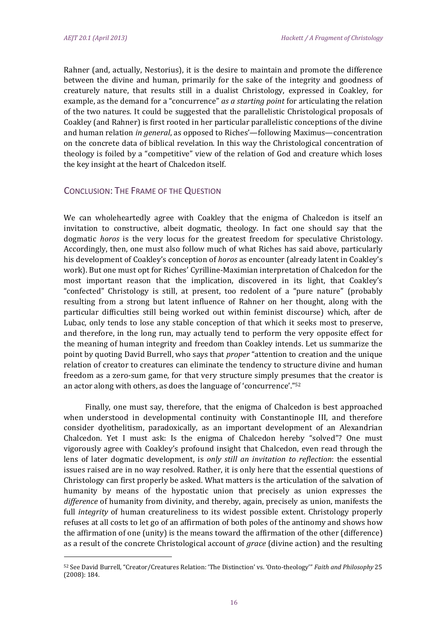Rahner (and, actually, Nestorius), it is the desire to maintain and promote the difference between the divine and human, primarily for the sake of the integrity and goodness of creaturely nature, that results still in a dualist Christology, expressed in Coakley, for example, as the demand for a "concurrence" *as a starting point* for articulating the relation of the two natures. It could be suggested that the parallelistic Christological proposals of Coakley (and Rahner) is first rooted in her particular parallelistic conceptions of the divine and human relation *in general*, as opposed to Riches'—following Maximus—concentration on the concrete data of biblical revelation. In this way the Christological concentration of theology is foiled by a "competitive" view of the relation of God and creature which loses the key insight at the heart of Chalcedon itself.

# CONCLUSION: THE FRAME OF THE QUESTION

 

We can wholeheartedly agree with Coakley that the enigma of Chalcedon is itself an invitation to constructive, albeit dogmatic, theology. In fact one should say that the dogmatic *horos* is the very locus for the greatest freedom for speculative Christology. Accordingly, then, one must also follow much of what Riches has said above, particularly his development of Coakley's conception of *horos* as encounter (already latent in Coakley's work). But one must opt for Riches' Cyrilline-Maximian interpretation of Chalcedon for the most important reason that the implication, discovered in its light, that Coakley's "confected" Christology is still, at present, too redolent of a "pure nature" (probably resulting from a strong but latent influence of Rahner on her thought, along with the particular difficulties still being worked out within feminist discourse) which, after de Lubac, only tends to lose any stable conception of that which it seeks most to preserve, and therefore, in the long run, may actually tend to perform the very opposite effect for the meaning of human integrity and freedom than Coakley intends. Let us summarize the point by quoting David Burrell, who says that *proper* "attention to creation and the unique relation of creator to creatures can eliminate the tendency to structure divine and human freedom as a zero-sum game, for that very structure simply presumes that the creator is an actor along with others, as does the language of 'concurrence'." $52$ 

Finally, one must say, therefore, that the enigma of Chalcedon is best approached when understood in developmental continuity with Constantinople III, and therefore consider dyothelitism, paradoxically, as an important development of an Alexandrian Chalcedon. Yet I must ask: Is the enigma of Chalcedon hereby "solved"? One must vigorously agree with Coakley's profound insight that Chalcedon, even read through the lens of later dogmatic development, is *only still an invitation to reflection*: the essential issues raised are in no way resolved. Rather, it is only here that the essential questions of Christology can first properly be asked. What matters is the articulation of the salvation of humanity by means of the hypostatic union that precisely as union expresses the *difference* of humanity from divinity, and thereby, again, precisely as union, manifests the full *integrity* of human creatureliness to its widest possible extent. Christology properly refuses at all costs to let go of an affirmation of both poles of the antinomy and shows how the affirmation of one (unity) is the means toward the affirmation of the other (difference) as a result of the concrete Christological account of *grace* (divine action) and the resulting

<sup>52</sup> See David Burrell, "Creator/Creatures Relation: 'The Distinction' vs. 'Onto-theology'" *Faith and Philosophy* 25  $(2008): 184.$